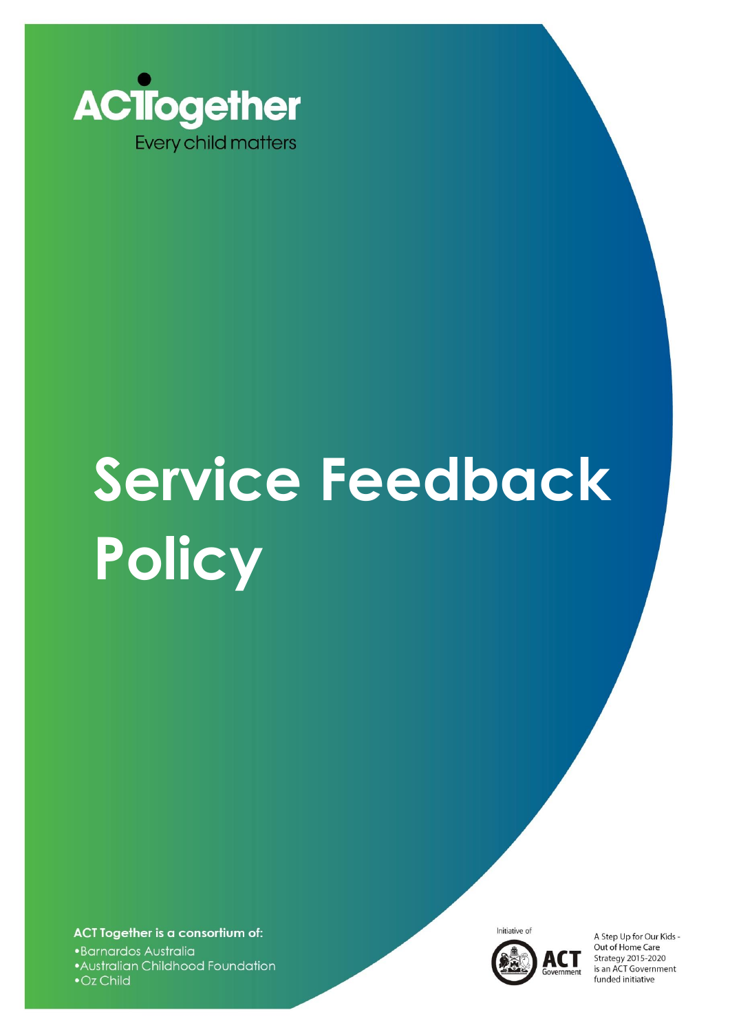

# **Service Feedback Policy**

ACT Together is a consortium of: •Barnardos Australia • Australian Childhood Foundation • Oz Child



A Step Up for Our Kids -Out of Home Care Strategy 2015-2020 is an ACT Government funded initiative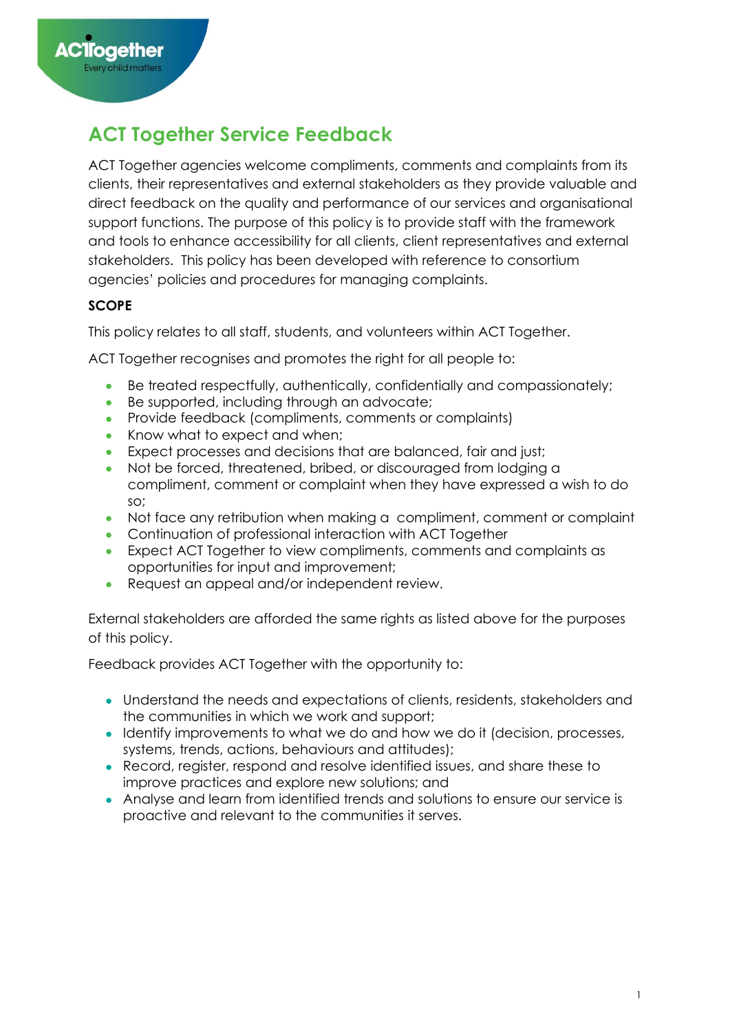# **ACT Together Service Feedback**

ACT Together agencies welcome compliments, comments and complaints from its clients, their representatives and external stakeholders as they provide valuable and direct feedback on the quality and performance of our services and organisational support functions. The purpose of this policy is to provide staff with the framework and tools to enhance accessibility for all clients, client representatives and external stakeholders. This policy has been developed with reference to consortium agencies' policies and procedures for managing complaints.

# **SCOPE**

This policy relates to all staff, students, and volunteers within ACT Together.

ACT Together recognises and promotes the right for all people to:

- Be treated respectfully, authentically, confidentially and compassionately;
- Be supported, including through an advocate;
- Provide feedback (compliments, comments or complaints)
- Know what to expect and when:
- Expect processes and decisions that are balanced, fair and just:
- Not be forced, threatened, bribed, or discouraged from lodging a compliment, comment or complaint when they have expressed a wish to do so;
- Not face any retribution when making a compliment, comment or complaint
- Continuation of professional interaction with ACT Together
- Expect ACT Together to view compliments, comments and complaints as opportunities for input and improvement;
- Request an appeal and/or independent review.

External stakeholders are afforded the same rights as listed above for the purposes of this policy.

Feedback provides ACT Together with the opportunity to:

- Understand the needs and expectations of clients, residents, stakeholders and the communities in which we work and support;
- Identify improvements to what we do and how we do it (decision, processes, systems, trends, actions, behaviours and attitudes);
- Record, register, respond and resolve identified issues, and share these to improve practices and explore new solutions; and
- Analyse and learn from identified trends and solutions to ensure our service is proactive and relevant to the communities it serves.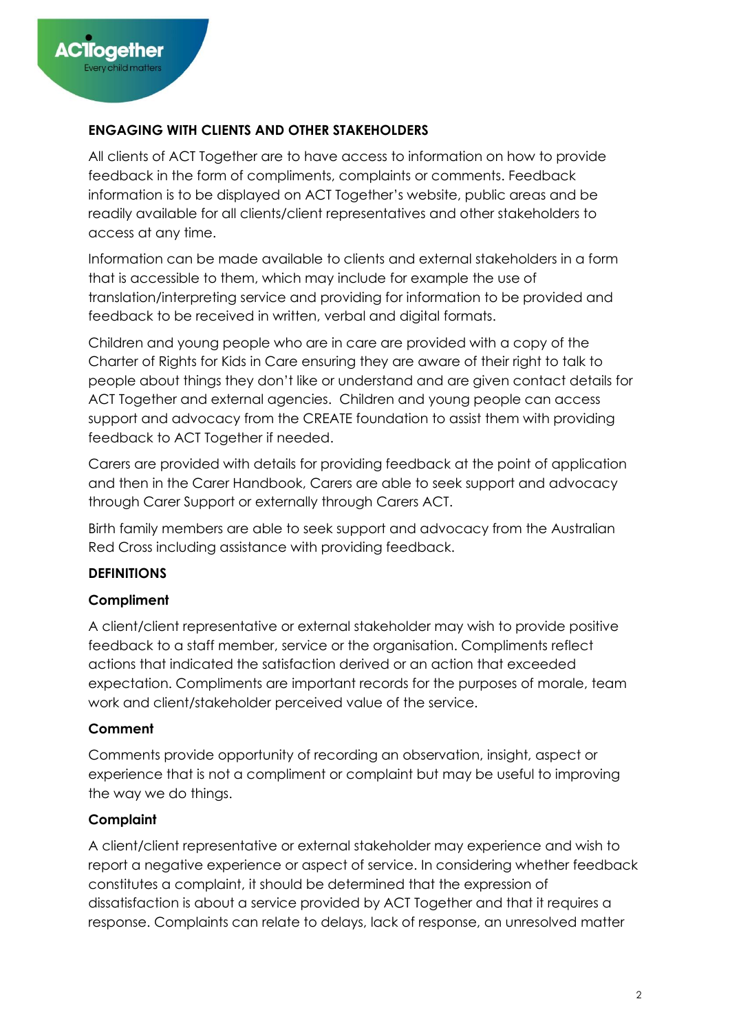# **ENGAGING WITH CLIENTS AND OTHER STAKEHOLDERS**

All clients of ACT Together are to have access to information on how to provide feedback in the form of compliments, complaints or comments. Feedback information is to be displayed on ACT Together's website, public areas and be readily available for all clients/client representatives and other stakeholders to access at any time.

Information can be made available to clients and external stakeholders in a form that is accessible to them, which may include for example the use of translation/interpreting service and providing for information to be provided and feedback to be received in written, verbal and digital formats.

Children and young people who are in care are provided with a copy of the Charter of Rights for Kids in Care ensuring they are aware of their right to talk to people about things they don't like or understand and are given contact details for ACT Together and external agencies. Children and young people can access support and advocacy from the CREATE foundation to assist them with providing feedback to ACT Together if needed.

Carers are provided with details for providing feedback at the point of application and then in the Carer Handbook, Carers are able to seek support and advocacy through Carer Support or externally through Carers ACT.

Birth family members are able to seek support and advocacy from the Australian Red Cross including assistance with providing feedback.

# **DEFINITIONS**

#### **Compliment**

A client/client representative or external stakeholder may wish to provide positive feedback to a staff member, service or the organisation. Compliments reflect actions that indicated the satisfaction derived or an action that exceeded expectation. Compliments are important records for the purposes of morale, team work and client/stakeholder perceived value of the service.

#### **Comment**

Comments provide opportunity of recording an observation, insight, aspect or experience that is not a compliment or complaint but may be useful to improving the way we do things.

#### **Complaint**

A client/client representative or external stakeholder may experience and wish to report a negative experience or aspect of service. In considering whether feedback constitutes a complaint, it should be determined that the expression of dissatisfaction is about a service provided by ACT Together and that it requires a response. Complaints can relate to delays, lack of response, an unresolved matter